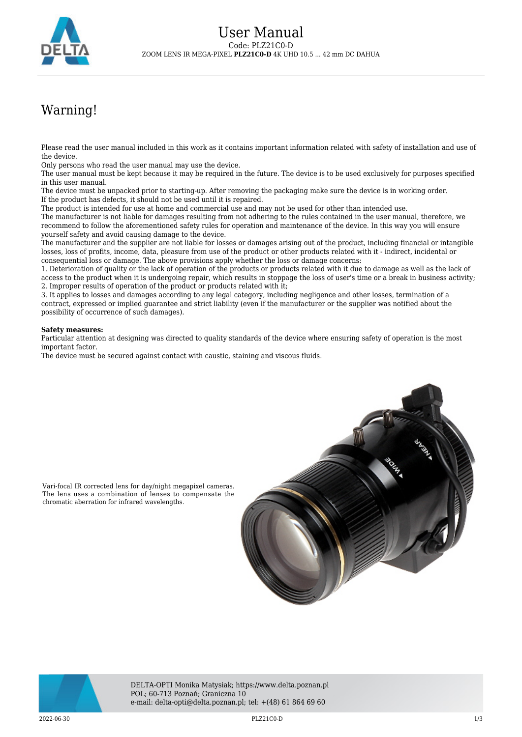

## Warning!

Please read the user manual included in this work as it contains important information related with safety of installation and use of the device.

Only persons who read the user manual may use the device.

The user manual must be kept because it may be required in the future. The device is to be used exclusively for purposes specified in this user manual.

The device must be unpacked prior to starting-up. After removing the packaging make sure the device is in working order. If the product has defects, it should not be used until it is repaired.

The product is intended for use at home and commercial use and may not be used for other than intended use.

The manufacturer is not liable for damages resulting from not adhering to the rules contained in the user manual, therefore, we recommend to follow the aforementioned safety rules for operation and maintenance of the device. In this way you will ensure yourself safety and avoid causing damage to the device.

The manufacturer and the supplier are not liable for losses or damages arising out of the product, including financial or intangible losses, loss of profits, income, data, pleasure from use of the product or other products related with it - indirect, incidental or consequential loss or damage. The above provisions apply whether the loss or damage concerns:

1. Deterioration of quality or the lack of operation of the products or products related with it due to damage as well as the lack of access to the product when it is undergoing repair, which results in stoppage the loss of user's time or a break in business activity; 2. Improper results of operation of the product or products related with it;

3. It applies to losses and damages according to any legal category, including negligence and other losses, termination of a contract, expressed or implied guarantee and strict liability (even if the manufacturer or the supplier was notified about the possibility of occurrence of such damages).

## **Safety measures:**

Particular attention at designing was directed to quality standards of the device where ensuring safety of operation is the most important factor.

The device must be secured against contact with caustic, staining and viscous fluids.



The lens uses a combination of lenses to compensate the chromatic aberration for infrared wavelengths.



DELTA-OPTI Monika Matysiak; https://www.delta.poznan.pl POL; 60-713 Poznań; Graniczna 10 e-mail: delta-opti@delta.poznan.pl; tel: +(48) 61 864 69 60

2022-06-30 PLZ21C0-D 1/3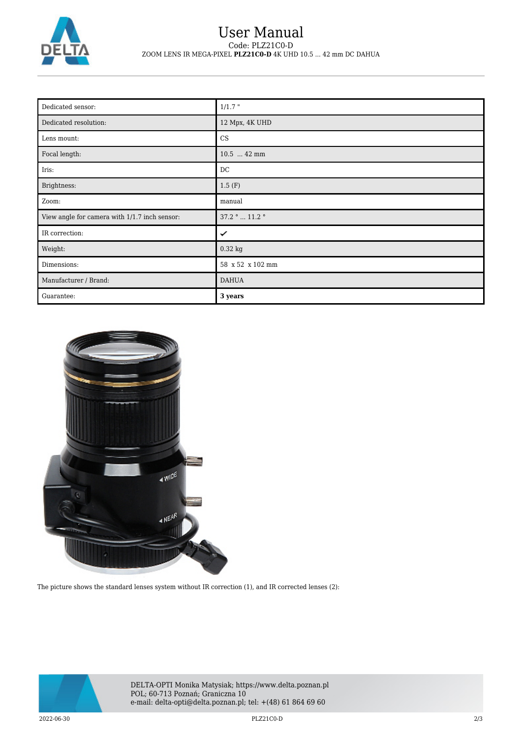

## User Manual Code: PLZ21C0-D ZOOM LENS IR MEGA-PIXEL **PLZ21C0-D** 4K UHD 10.5 ... 42 mm DC DAHUA

| Dedicated sensor:                             | $1/1.7$ "        |
|-----------------------------------------------|------------------|
| Dedicated resolution:                         | 12 Mpx, 4K UHD   |
| Lens mount:                                   | CS               |
| Focal length:                                 | 10.5  42 mm      |
| Iris:                                         | DC               |
| Brightness:                                   | 1.5(F)           |
| Zoom:                                         | manual           |
| View angle for camera with 1/1.7 inch sensor: | 37.2 °  11.2 °   |
| IR correction:                                | ✓                |
| Weight:                                       | 0.32 kg          |
| Dimensions:                                   | 58 x 52 x 102 mm |
| Manufacturer / Brand:                         | <b>DAHUA</b>     |
| Guarantee:                                    | 3 years          |



The picture shows the standard lenses system without IR correction (1), and IR corrected lenses (2):



DELTA-OPTI Monika Matysiak; https://www.delta.poznan.pl POL; 60-713 Poznań; Graniczna 10 e-mail: delta-opti@delta.poznan.pl; tel: +(48) 61 864 69 60